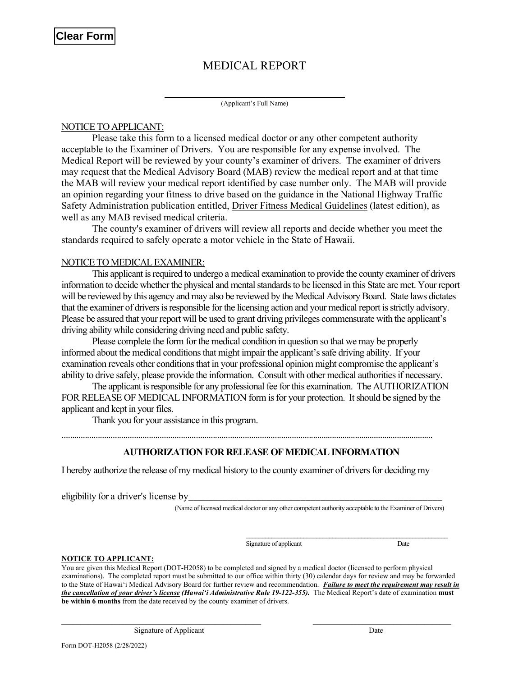# MEDICAL REPORT

(Applicant's Full Name)

### NOTICE TO APPLICANT:

Please take this form to a licensed medical doctor or any other competent authority acceptable to the Examiner of Drivers. You are responsible for any expense involved. The Medical Report will be reviewed by your county's examiner of drivers. The examiner of drivers may request that the Medical Advisory Board (MAB) review the medical report and at that time the MAB will review your medical report identified by case number only. The MAB will provide an opinion regarding your fitness to drive based on the guidance in the National Highway Traffic Safety Administration publication entitled, Driver Fitness Medical Guidelines (latest edition), as well as any MAB revised medical criteria.

The county's examiner of drivers will review all reports and decide whether you meet the standards required to safely operate a motor vehicle in the State of Hawaii.

### NOTICE TO MEDICAL EXAMINER:

This applicant is required to undergo a medical examination to provide the county examiner of drivers information to decide whether the physical and mental standards to be licensed in this State are met. Your report will be reviewed by this agency and may also be reviewed by the Medical Advisory Board. State laws dictates that the examiner of drivers is responsible for the licensing action and your medical report is strictly advisory. Please be assured that your report will be used to grant driving privileges commensurate with the applicant's driving ability while considering driving need and public safety.

Please complete the form for the medical condition in question so that we may be properly informed about the medical conditions that might impair the applicant's safe driving ability. If your examination reveals other conditions that in your professional opinion might compromise the applicant's ability to drive safely, please provide the information. Consult with other medical authorities if necessary.

The applicant is responsible for any professional fee for this examination. The AUTHORIZATION FOR RELEASE OF MEDICAL INFORMATION form is for your protection. It should be signed by the applicant and kept in your files.

Thank you for your assistance in this program.

………………………………………………………………………………………………………..........................................................

## AUTHORIZATION FOR RELEASE OF MEDICAL INFORMATION

I hereby authorize the release of my medical history to the county examiner of drivers for deciding my

eligibility for a driver's license by

(Name of licensed medical doctor or any other competent authority acceptable to the Examiner of Drivers)

Signature of applicant Date

#### NOTICE TO APPLICANT:

You are given this Medical Report (DOT-H2058) to be completed and signed by a medical doctor (licensed to perform physical examinations). The completed report must be submitted to our office within thirty (30) calendar days for review and may be forwarded to the State of Hawai'i Medical Advisory Board for further review and recommendation. Failure to meet the requirement may result in the cancellation of your driver's license (Hawai'i Administrative Rule 19-122-355). The Medical Report's date of examination must be within 6 months from the date received by the county examiner of drivers.

 $\mathcal{L}_\text{max}$ 

Signature of Applicant Date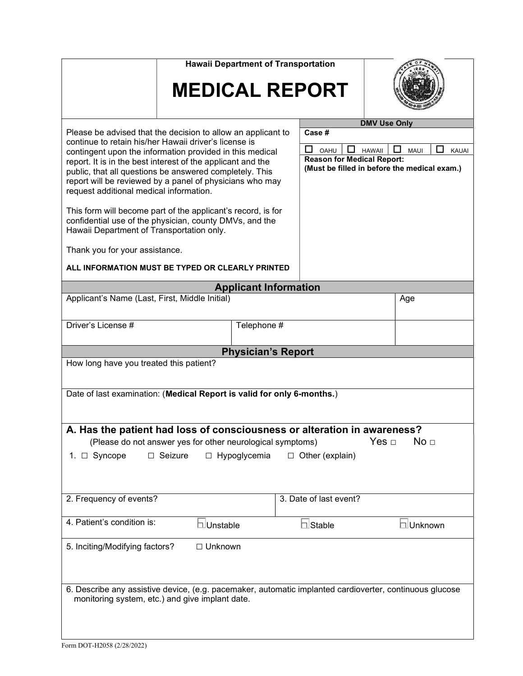| <b>Hawaii Department of Transportation</b>                                                                                                                                                                                                                                                                                                                                                                         |                            |                                                                                                                                                          |  |  |  |
|--------------------------------------------------------------------------------------------------------------------------------------------------------------------------------------------------------------------------------------------------------------------------------------------------------------------------------------------------------------------------------------------------------------------|----------------------------|----------------------------------------------------------------------------------------------------------------------------------------------------------|--|--|--|
| <b>MEDICAL REPORT</b>                                                                                                                                                                                                                                                                                                                                                                                              |                            |                                                                                                                                                          |  |  |  |
| Please be advised that the decision to allow an applicant to<br>continue to retain his/her Hawaii driver's license is<br>contingent upon the information provided in this medical<br>report. It is in the best interest of the applicant and the<br>public, that all questions be answered completely. This<br>report will be reviewed by a panel of physicians who may<br>request additional medical information. | Case #<br>ப<br><b>OAHU</b> | <b>DMV Use Only</b><br><b>HAWAII</b><br><b>MAUI</b><br><b>KAUAI</b><br><b>Reason for Medical Report:</b><br>(Must be filled in before the medical exam.) |  |  |  |
| This form will become part of the applicant's record, is for<br>confidential use of the physician, county DMVs, and the<br>Hawaii Department of Transportation only.                                                                                                                                                                                                                                               |                            |                                                                                                                                                          |  |  |  |
| Thank you for your assistance.                                                                                                                                                                                                                                                                                                                                                                                     |                            |                                                                                                                                                          |  |  |  |
| ALL INFORMATION MUST BE TYPED OR CLEARLY PRINTED                                                                                                                                                                                                                                                                                                                                                                   |                            |                                                                                                                                                          |  |  |  |
| <b>Applicant Information</b>                                                                                                                                                                                                                                                                                                                                                                                       |                            |                                                                                                                                                          |  |  |  |
| Applicant's Name (Last, First, Middle Initial)                                                                                                                                                                                                                                                                                                                                                                     |                            | Age                                                                                                                                                      |  |  |  |
| Driver's License #<br>Telephone #                                                                                                                                                                                                                                                                                                                                                                                  |                            |                                                                                                                                                          |  |  |  |
| <b>Physician's Report</b>                                                                                                                                                                                                                                                                                                                                                                                          |                            |                                                                                                                                                          |  |  |  |
| How long have you treated this patient?<br>Date of last examination: (Medical Report is valid for only 6-months.)                                                                                                                                                                                                                                                                                                  |                            |                                                                                                                                                          |  |  |  |
| A. Has the patient had loss of consciousness or alteration in awareness?<br>Yes $\Box$<br>No <sub>1</sub><br>(Please do not answer yes for other neurological symptoms)<br>1. □ Syncope<br>$\Box$ Seizure<br>$\Box$ Hypoglycemia<br>$\Box$ Other (explain)                                                                                                                                                         |                            |                                                                                                                                                          |  |  |  |
| 2. Frequency of events?                                                                                                                                                                                                                                                                                                                                                                                            | 3. Date of last event?     |                                                                                                                                                          |  |  |  |
| 4. Patient's condition is:<br>□Unstable                                                                                                                                                                                                                                                                                                                                                                            | □Stable                    | □Unknown                                                                                                                                                 |  |  |  |
| 5. Inciting/Modifying factors?<br>□ Unknown                                                                                                                                                                                                                                                                                                                                                                        |                            |                                                                                                                                                          |  |  |  |
| 6. Describe any assistive device, (e.g. pacemaker, automatic implanted cardioverter, continuous glucose<br>monitoring system, etc.) and give implant date.                                                                                                                                                                                                                                                         |                            |                                                                                                                                                          |  |  |  |
| Form DOT-H2058 (2/28/2022)                                                                                                                                                                                                                                                                                                                                                                                         |                            |                                                                                                                                                          |  |  |  |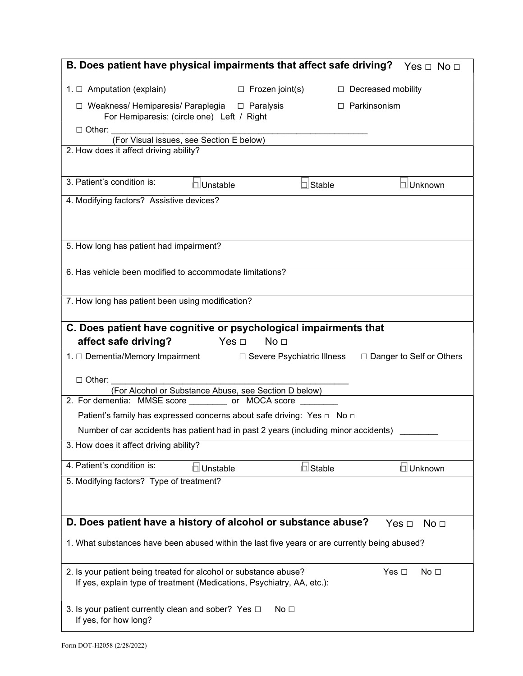| B. Does patient have physical impairments that affect safe driving?                                                                                                                                                            |                                                 |               | Yes $\Box$ No $\Box$       |  |  |  |
|--------------------------------------------------------------------------------------------------------------------------------------------------------------------------------------------------------------------------------|-------------------------------------------------|---------------|----------------------------|--|--|--|
| 1. $\Box$ Amputation (explain)                                                                                                                                                                                                 | $\Box$ Frozen joint(s)                          |               | $\Box$ Decreased mobility  |  |  |  |
| $\Box$ Weakness/ Hemiparesis/ Paraplegia $\Box$ Paralysis<br>$\Box$ Parkinsonism<br>For Hemiparesis: (circle one) Left / Right<br>□ Other: _________________                                                                   |                                                 |               |                            |  |  |  |
| (For Visual issues, see Section E below)<br>2. How does it affect driving ability?                                                                                                                                             |                                                 |               |                            |  |  |  |
| 3. Patient's condition is:<br>□Unstable                                                                                                                                                                                        |                                                 | $\Box$ Stable | □Unknown                   |  |  |  |
| 4. Modifying factors? Assistive devices?                                                                                                                                                                                       |                                                 |               |                            |  |  |  |
| 5. How long has patient had impairment?                                                                                                                                                                                        |                                                 |               |                            |  |  |  |
| 6. Has vehicle been modified to accommodate limitations?                                                                                                                                                                       |                                                 |               |                            |  |  |  |
| 7. How long has patient been using modification?                                                                                                                                                                               |                                                 |               |                            |  |  |  |
| C. Does patient have cognitive or psychological impairments that<br>affect safe driving?<br>$\mathsf{Yes} \ \Box$<br>1. □ Dementia/Memory Impairment<br>$\Box$ Other:<br>(For Alcohol or Substance Abuse, see Section D below) | No <sub>1</sub><br>□ Severe Psychiatric Illness |               | □ Danger to Self or Others |  |  |  |
| 2. For dementia: MMSE score ________ or MOCA score ______<br>Patient's family has expressed concerns about safe driving: Yes □ No □                                                                                            |                                                 |               |                            |  |  |  |
| Number of car accidents has patient had in past 2 years (including minor accidents)                                                                                                                                            |                                                 |               |                            |  |  |  |
| 3. How does it affect driving ability?                                                                                                                                                                                         |                                                 |               |                            |  |  |  |
| 4. Patient's condition is:<br>□Unstable<br>5. Modifying factors? Type of treatment?                                                                                                                                            |                                                 | 口 Stable      | $\square$ Unknown          |  |  |  |
|                                                                                                                                                                                                                                |                                                 |               |                            |  |  |  |
| D. Does patient have a history of alcohol or substance abuse?<br>No <sub>1</sub><br>Yes $\Box$<br>1. What substances have been abused within the last five years or are currently being abused?                                |                                                 |               |                            |  |  |  |
| 2. Is your patient being treated for alcohol or substance abuse?<br>Yes $\square$<br>No <sub>1</sub><br>If yes, explain type of treatment (Medications, Psychiatry, AA, etc.):                                                 |                                                 |               |                            |  |  |  |
| 3. Is your patient currently clean and sober? Yes □<br>If yes, for how long?                                                                                                                                                   | No <sub>1</sub>                                 |               |                            |  |  |  |